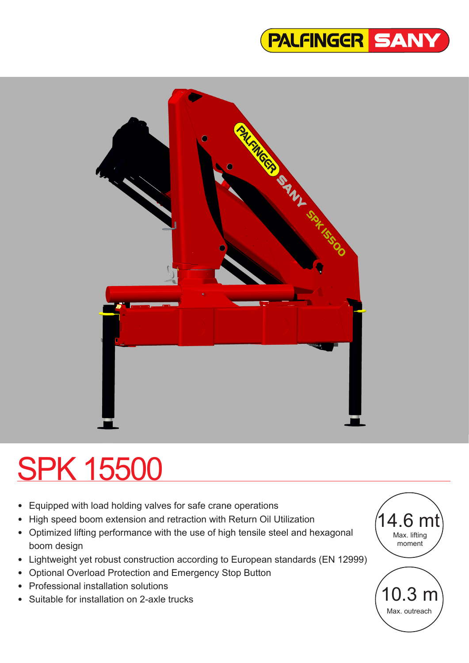



# SPK 15500

- Equipped with load holding valves for safe crane operations
- High speed boom extension and retraction with Return Oil Utilization
- Optimized lifting performance with the use of high tensile steel and hexagonal boom design
- Lightweight yet robust construction according to European standards (EN 12999)
- Optional Overload Protection and Emergency Stop Button
- Professional installation solutions
- Suitable for installation on 2-axle trucks

10.3 m Max. outreach 14.6 mt Max. lifting moment